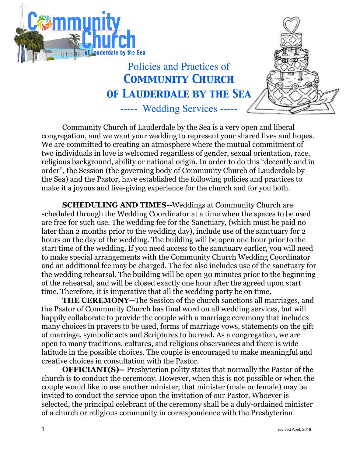



## Policies and Practices of *Community Church of Lauderdale by the Sea*

----- Wedding Services -----

Community Church of Lauderdale by the Sea is a very open and liberal congregation, and we want your wedding to represent your shared lives and hopes. We are committed to creating an atmosphere where the mutual commitment of two individuals in love is welcomed regardless of gender, sexual orientation, race, religious background, ability or national origin. In order to do this "decently and in order", the Session (the governing body of Community Church of Lauderdale by the Sea) and the Pastor, have established the following policies and practices to make it a joyous and live-giving experience for the church and for you both.

**SCHEDULING AND TIMES--**Weddings at Community Church are scheduled through the Wedding Coordinator at a time when the spaces to be used are free for such use. The wedding fee for the Sanctuary, (which must be paid no later than 2 months prior to the wedding day), include use of the sanctuary for 2 hours on the day of the wedding. The building will be open one hour prior to the start time of the wedding. If you need access to the sanctuary earlier, you will need to make special arrangements with the Community Church Wedding Coordinator and an additional fee may be charged. The fee also includes use of the sanctuary for the wedding rehearsal. The building will be open 30 minutes prior to the beginning of the rehearsal, and will be closed exactly one hour after the agreed upon start time. Therefore, it is imperative that all the wedding party be on time.

**THE CEREMONY--**The Session of the church sanctions all marriages, and the Pastor of Community Church has final word on all wedding services, but will happily collaborate to provide the couple with a marriage ceremony that includes many choices in prayers to be used, forms of marriage vows, statements on the gift of marriage, symbolic acts and Scriptures to be read. As a congregation, we are open to many traditions, cultures, and religious observances and there is wide latitude in the possible choices. The couple is encouraged to make meaningful and creative choices in consultation with the Pastor.

**OFFICIANT(S)--** Presbyterian polity states that normally the Pastor of the church is to conduct the ceremony. However, when this is not possible or when the couple would like to use another minister, that minister (male or female) may be invited to conduct the service upon the invitation of our Pastor. Whoever is selected, the principal celebrant of the ceremony shall be a duly-ordained minister of a church or religious community in correspondence with the Presbyterian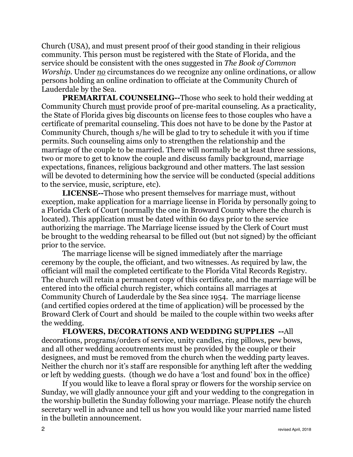Church (USA), and must present proof of their good standing in their religious community. This person must be registered with the State of Florida, and the service should be consistent with the ones suggested in *The Book of Common Worship*. Under *no* circumstances do we recognize any online ordinations, or allow persons holding an online ordination to officiate at the Community Church of Lauderdale by the Sea.

**PREMARITAL COUNSELING--**Those who seek to hold their wedding at Community Church must provide proof of pre-marital counseling. As a practicality, the State of Florida gives big discounts on license fees to those couples who have a certificate of premarital counseling. This does not have to be done by the Pastor at Community Church, though s/he will be glad to try to schedule it with you if time permits. Such counseling aims only to strengthen the relationship and the marriage of the couple to be married. There will normally be at least three sessions, two or more to get to know the couple and discuss family background, marriage expectations, finances, religious background and other matters. The last session will be devoted to determining how the service will be conducted (special additions to the service, music, scripture, etc).

**LICENSE--**Those who present themselves for marriage must, without exception, make application for a marriage license in Florida by personally going to a Florida Clerk of Court (normally the one in Broward County where the church is located). This application must be dated within 60 days prior to the service authorizing the marriage. The Marriage license issued by the Clerk of Court must be brought to the wedding rehearsal to be filled out (but not signed) by the officiant prior to the service.

The marriage license will be signed immediately after the marriage ceremony by the couple, the officiant, and two witnesses. As required by law, the officiant will mail the completed certificate to the Florida Vital Records Registry. The church will retain a permanent copy of this certificate, and the marriage will be entered into the official church register, which contains all marriages at Community Church of Lauderdale by the Sea since 1954. The marriage license (and certified copies ordered at the time of application) will be processed by the Broward Clerk of Court and should be mailed to the couple within two weeks after the wedding.

**FLOWERS, DECORATIONS AND WEDDING SUPPLIES --**All decorations, programs/orders of service, unity candles, ring pillows, pew bows, and all other wedding accoutrements must be provided by the couple or their designees, and must be removed from the church when the wedding party leaves. Neither the church nor it's staff are responsible for anything left after the wedding or left by wedding guests. (though we do have a 'lost and found' box in the office)

If you would like to leave a floral spray or flowers for the worship service on Sunday, we will gladly announce your gift and your wedding to the congregation in the worship bulletin the Sunday following your marriage. Please notify the church secretary well in advance and tell us how you would like your married name listed in the bulletin announcement.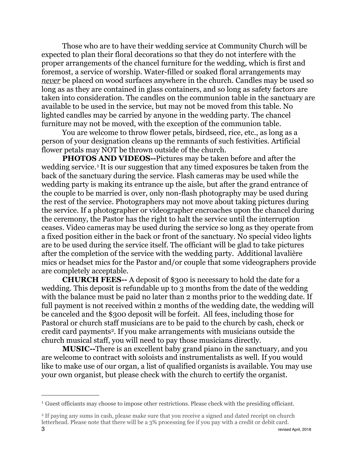Those who are to have their wedding service at Community Church will be expected to plan their floral decorations so that they do not interfere with the proper arrangements of the chancel furniture for the wedding, which is first and foremost, a service of worship. Water-filled or soaked floral arrangements may *never* be placed on wood surfaces anywhere in the church. Candles may be used so long as as they are contained in glass containers, and so long as safety factors are taken into consideration. The candles on the communion table in the sanctuary are available to be used in the service, but may not be moved from this table. No lighted candles may be carried by anyone in the wedding party. The chancel furniture may not be moved, with the exception of the communion table.

You are welcome to throw flower petals, birdseed, rice, etc., as long as a person of your designation cleans up the remnants of such festivities. Artificial flower petals may NOT be thrown outside of the church.

**PHOTOS AND VIDEOS--**Pictures may be taken before and after the wedding service.<sup>[1](#page-2-0)</sup> It is our suggestion that any timed exposures be taken from the back of the sanctuary during the service. Flash cameras may be used while the wedding party is making its entrance up the aisle, but after the grand entrance of the couple to be married is over, only non-flash photography may be used during the rest of the service. Photographers may not move about taking pictures during the service. If a photographer or videographer encroaches upon the chancel during the ceremony, the Pastor has the right to halt the service until the interruption ceases. Video cameras may be used during the service so long as they operate from a fixed position either in the back or front of the sanctuary. No special video lights are to be used during the service itself. The officiant will be glad to take pictures after the completion of the service with the wedding party. Additional lavalière mics or headset mics for the Pastor and/or couple that some videographers provide are completely acceptable.

**CHURCH FEES--** A deposit of \$300 is necessary to hold the date for a wedding. This deposit is refundable up to 3 months from the date of the wedding with the balance must be paid no later than 2 months prior to the wedding date. If full payment is not received within 2 months of the wedding date, the wedding will be canceled and the \$300 deposit will be forfeit. All fees, including those for Pastoral or church staff musicians are to be paid to the church by cash, check or credit card payments<sup>2</sup>. If you make arrangements with musicians outside the church musical staff, you will need to pay those musicians directly.

**MUSIC--**There is an excellent baby grand piano in the sanctuary, and you are welcome to contract with soloists and instrumentalists as well. If you would like to make use of our organ, a list of qualified organists is available. You may use your own organist, but please check with the church to certify the organist.

<span id="page-2-0"></span><sup>1</sup> Guest officiants may choose to impose other restrictions. Please check with the presiding officiant.

<span id="page-2-1"></span><sup>2</sup> If paying any sums in cash, please make sure that you receive a signed and dated receipt on church letterhead. Please note that there will be a 3% processing fee if you pay with a credit or debit card.